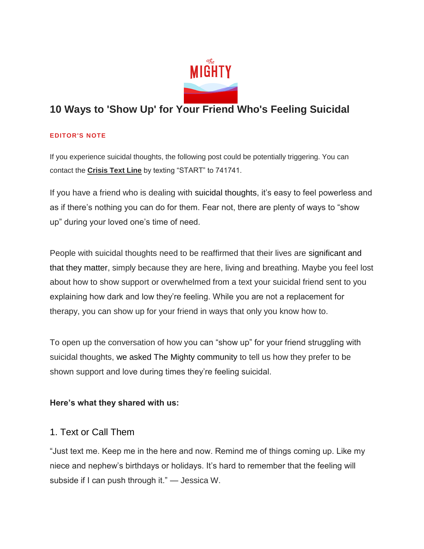

# **10 Ways to 'Show Up' for Your Friend Who's Feeling Suicidal**

#### **EDITOR'S NOTE**

If you experience suicidal thoughts, the following post could be potentially triggering. You can contact the **[Crisis Text Line](http://www.crisistextline.org/)** by texting "START" to 741741.

If you have a friend who is dealing with [suicidal thoughts](https://themighty.com/2018/02/active-passive-suicidal-thoughts/), it's easy to feel powerless and as if there's nothing you can do for them. Fear not, there are plenty of ways to "show up" during your loved one's time of need.

People with suicidal thoughts need to be reaffirmed that their lives are [significant and](https://themighty.com/2018/09/i-want-to-die/)  [that they matter](https://themighty.com/2018/09/i-want-to-die/), simply because they are here, living and breathing. Maybe you feel lost about how to show support or overwhelmed from a text your suicidal friend sent to you explaining how dark and low they're feeling. While you are not a replacement for therapy, you can show up for your friend in ways that only you know how to.

To open up the conversation of how you can "show up" for your friend struggling with suicidal thoughts, [we asked The Mighty](http://facebook.com/MentalHealthOnTheMighty/posts/2325659131036125?__tn__=-R) community to tell us how they prefer to be shown support and love during times they're feeling suicidal.

#### **Here's what they shared with us:**

#### 1. Text or Call Them

"Just text me. Keep me in the here and now. Remind me of things coming up. Like my niece and nephew's birthdays or holidays. It's hard to remember that the feeling will subside if I can push through it." — Jessica W.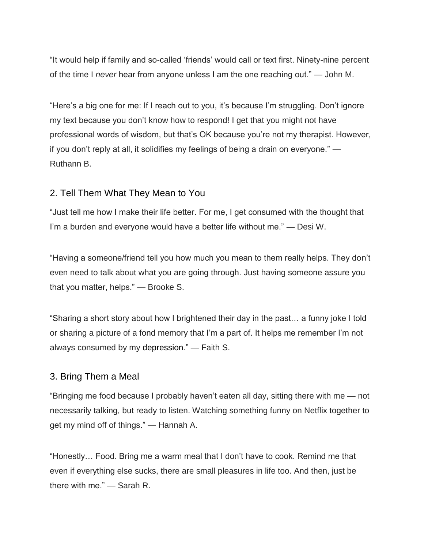"It would help if family and so-called 'friends' would call or text first. Ninety-nine percent of the time I *never* hear from anyone unless I am the one reaching out." — John M.

"Here's a big one for me: If I reach out to you, it's because I'm struggling. Don't ignore my text because you don't know how to respond! I get that you might not have professional words of wisdom, but that's OK because you're not my therapist. However, if you don't reply at all, it solidifies my feelings of being a drain on everyone." — Ruthann B.

#### 2. Tell Them What They Mean to You

"Just tell me how I make their life better. For me, I get consumed with the thought that I'm a burden and everyone would have a better life without me." — Desi W.

"Having a someone/friend tell you how much you mean to them really helps. They don't even need to talk about what you are going through. Just having someone assure you that you matter, helps." — Brooke S.

"Sharing a short story about how I brightened their day in the past… a funny joke I told or sharing a picture of a fond memory that I'm a part of. It helps me remember I'm not always consumed by my [depression](https://themighty.com/depression/)." — Faith S.

#### 3. Bring Them a Meal

"Bringing me food because I probably haven't eaten all day, sitting there with me — not necessarily talking, but ready to listen. Watching something funny on Netflix together to get my mind off of things." — Hannah A.

"Honestly… Food. Bring me a warm meal that I don't have to cook. Remind me that even if everything else sucks, there are small pleasures in life too. And then, just be there with me." — Sarah R.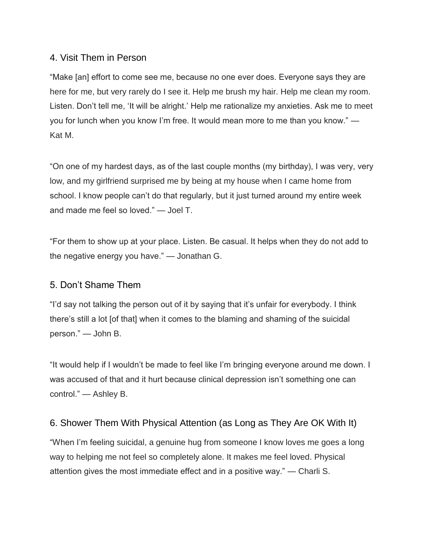### 4. Visit Them in Person

"Make [an] effort to come see me, because no one ever does. Everyone says they are here for me, but very rarely do I see it. Help me brush my hair. Help me clean my room. Listen. Don't tell me, 'It will be alright.' Help me rationalize my anxieties. Ask me to meet you for lunch when you know I'm free. It would mean more to me than you know." — Kat M.

"On one of my hardest days, as of the last couple months (my birthday), I was very, very low, and my girlfriend surprised me by being at my house when I came home from school. I know people can't do that regularly, but it just turned around my entire week and made me feel so loved." — Joel T.

"For them to show up at your place. Listen. Be casual. It helps when they do not add to the negative energy you have." — Jonathan G.

#### 5. Don't Shame Them

"I'd say not talking the person out of it by saying that it's unfair for everybody. I think there's still a lot [of that] when it comes to the blaming and shaming of the suicidal person." — John B.

"It would help if I wouldn't be made to feel like I'm bringing everyone around me down. I was accused of that and it hurt because clinical depression isn't something one can control." — Ashley B.

## 6. Shower Them With Physical Attention (as Long as They Are OK With It)

"When I'm feeling suicidal, a genuine hug from someone I know loves me goes a long way to helping me not feel so completely alone. It makes me feel loved. Physical attention gives the most immediate effect and in a positive way." — Charli S.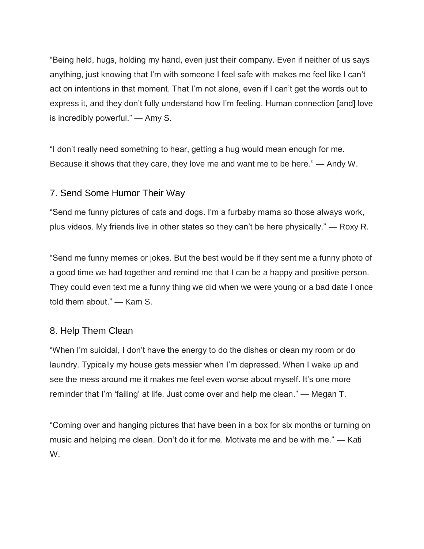"Being held, hugs, holding my hand, even just their company. Even if neither of us says anything, just knowing that I'm with someone I feel safe with makes me feel like I can't act on intentions in that moment. That I'm not alone, even if I can't get the words out to express it, and they don't fully understand how I'm feeling. Human connection [and] love is incredibly powerful." — Amy S.

"I don't really need something to hear, getting a hug would mean enough for me. Because it shows that they care, they love me and want me to be here." — Andy W.

### 7. Send Some Humor Their Way

"Send me funny pictures of cats and dogs. I'm a furbaby mama so those always work, plus videos. My friends live in other states so they can't be here physically." — Roxy R.

"Send me funny memes or jokes. But the best would be if they sent me a funny photo of a good time we had together and remind me that I can be a happy and positive person. They could even text me a funny thing we did when we were young or a bad date I once told them about." — Kam S.

#### 8. Help Them Clean

"When I'm suicidal, I don't have the energy to do the dishes or clean my room or do laundry. Typically my house gets messier when I'm depressed. When I wake up and see the mess around me it makes me feel even worse about myself. It's one more reminder that I'm 'failing' at life. Just come over and help me clean." — Megan T.

"Coming over and hanging pictures that have been in a box for six months or turning on music and helping me clean. Don't do it for me. Motivate me and be with me." — Kati W.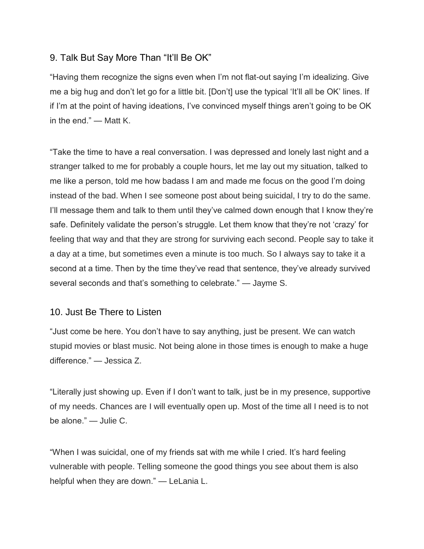### 9. Talk But Say More Than "It'll Be OK"

"Having them recognize the signs even when I'm not flat-out saying I'm idealizing. Give me a big hug and don't let go for a little bit. [Don't] use the typical 'It'll all be OK' lines. If if I'm at the point of having ideations, I've convinced myself things aren't going to be OK in the end." — Matt K.

"Take the time to have a real conversation. I was depressed and lonely last night and a stranger talked to me for probably a couple hours, let me lay out my situation, talked to me like a person, told me how badass I am and made me focus on the good I'm doing instead of the bad. When I see someone post about being suicidal, I try to do the same. I'll message them and talk to them until they've calmed down enough that I know they're safe. Definitely validate the person's struggle. Let them know that they're not 'crazy' for feeling that way and that they are strong for surviving each second. People say to take it a day at a time, but sometimes even a minute is too much. So I always say to take it a second at a time. Then by the time they've read that sentence, they've already survived several seconds and that's something to celebrate." — Jayme S.

#### 10. Just Be There to Listen

"Just come be here. You don't have to say anything, just be present. We can watch stupid movies or blast music. Not being alone in those times is enough to make a huge difference." — Jessica Z.

"Literally just showing up. Even if I don't want to talk, just be in my presence, supportive of my needs. Chances are I will eventually open up. Most of the time all I need is to not be alone." — Julie C.

"When I was suicidal, one of my friends sat with me while I cried. It's hard feeling vulnerable with people. Telling someone the good things you see about them is also helpful when they are down." — LeLania L.